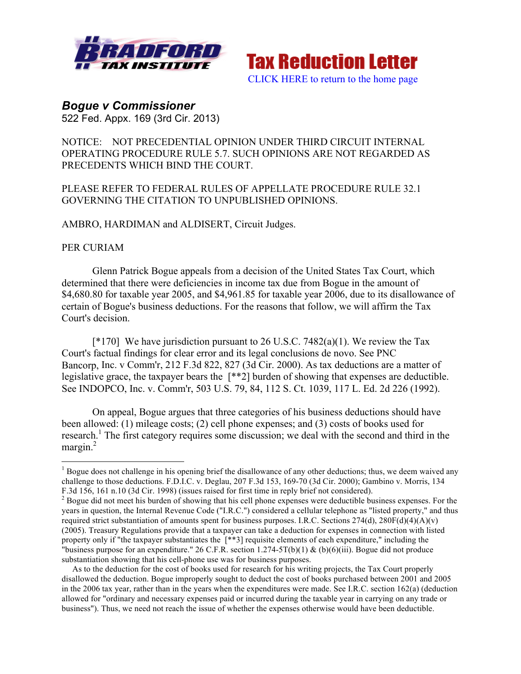



## *Bogue v Commissioner*

522 Fed. Appx. 169 (3rd Cir. 2013)

## NOTICE: NOT PRECEDENTIAL OPINION UNDER THIRD CIRCUIT INTERNAL OPERATING PROCEDURE RULE 5.7. SUCH OPINIONS ARE NOT REGARDED AS PRECEDENTS WHICH BIND THE COURT.

## PLEASE REFER TO FEDERAL RULES OF APPELLATE PROCEDURE RULE 32.1 GOVERNING THE CITATION TO UNPUBLISHED OPINIONS.

AMBRO, HARDIMAN and ALDISERT, Circuit Judges.

## PER CURIAM

Glenn Patrick Bogue appeals from a decision of the United States Tax Court, which determined that there were deficiencies in income tax due from Bogue in the amount of \$4,680.80 for taxable year 2005, and \$4,961.85 for taxable year 2006, due to its disallowance of certain of Bogue's business deductions. For the reasons that follow, we will affirm the Tax Court's decision.

 $[*170]$  We have jurisdiction pursuant to 26 U.S.C. 7482(a)(1). We review the Tax Court's factual findings for clear error and its legal conclusions de novo. See PNC Bancorp, Inc. v Comm'r, 212 F.3d 822, 827 (3d Cir. 2000). As tax deductions are a matter of legislative grace, the taxpayer bears the [\*\*2] burden of showing that expenses are deductible. See INDOPCO, Inc. v. Comm'r, 503 U.S. 79, 84, 112 S. Ct. 1039, 117 L. Ed. 2d 226 (1992).

On appeal, Bogue argues that three categories of his business deductions should have been allowed: (1) mileage costs; (2) cell phone expenses; and (3) costs of books used for research.<sup>1</sup> The first category requires some discussion; we deal with the second and third in the margin.<sup>2</sup>

 $<sup>1</sup>$  Bogue does not challenge in his opening brief the disallowance of any other deductions; thus, we deem waived any</sup> challenge to those deductions. F.D.I.C. v. Deglau, 207 F.3d 153, 169-70 (3d Cir. 2000); Gambino v. Morris, 134 F.3d 156, 161 n.10 (3d Cir. 1998) (issues raised for first time in reply brief not considered).<br><sup>2</sup> Bogue did not meet his burden of showing that his cell phone expenses were deductible business expenses. For the

years in question, the Internal Revenue Code ("I.R.C.") considered a cellular telephone as "listed property," and thus required strict substantiation of amounts spent for business purposes. I.R.C. Sections  $274(d)$ ,  $280F(d)(4)(A)(v)$ (2005). Treasury Regulations provide that a taxpayer can take a deduction for expenses in connection with listed property only if "the taxpayer substantiates the [\*\*3] requisite elements of each expenditure," including the "business purpose for an expenditure." 26 C.F.R. section 1.274-5T(b)(1) & (b)(6)(iii). Bogue did not produce substantiation showing that his cell-phone use was for business purposes.

As to the deduction for the cost of books used for research for his writing projects, the Tax Court properly disallowed the deduction. Bogue improperly sought to deduct the cost of books purchased between 2001 and 2005 in the 2006 tax year, rather than in the years when the expenditures were made. See I.R.C. section 162(a) (deduction allowed for "ordinary and necessary expenses paid or incurred during the taxable year in carrying on any trade or business"). Thus, we need not reach the issue of whether the expenses otherwise would have been deductible.